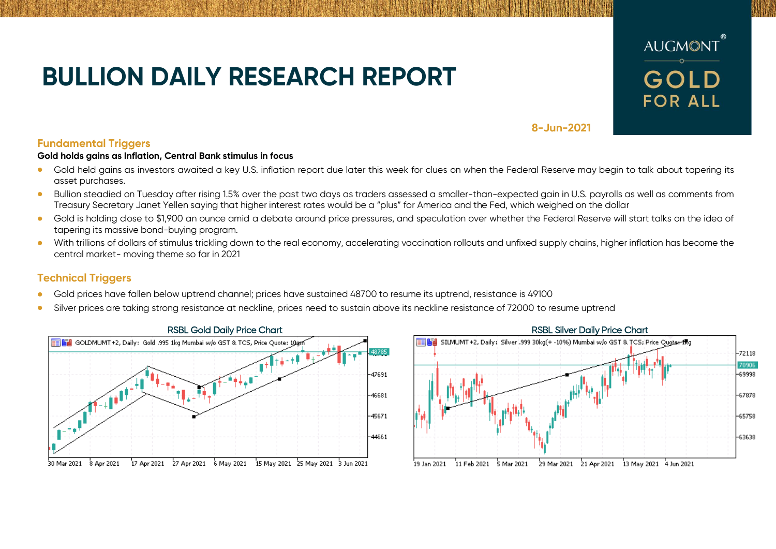# **BULLION DAILY RESEARCH REPORT**



**8-Jun-2021**

## **Fundamental Triggers**

### **Gold holds gains as Inflation, Central Bank stimulus in focus**

- Gold held gains as investors awaited a key U.S. inflation report due later this week for clues on when the Federal Reserve may begin to talk about tapering its asset purchases.
- Bullion steadied on Tuesday after rising 1.5% over the past two days as traders assessed a smaller-than-expected gain in U.S. payrolls as well as comments from Treasury Secretary Janet Yellen saying that higher interest rates would be a "plus" for America and the Fed, which weighed on the dollar
- Gold is holding close to \$1,900 an ounce amid a debate around price pressures, and speculation over whether the Federal Reserve will start talks on the idea of tapering its massive bond-buying program.
- With trillions of dollars of stimulus trickling down to the real economy, accelerating vaccination rollouts and unfixed supply chains, higher inflation has become the central market- moving theme so far in 2021

## **Technical Triggers**

- Gold prices have fallen below uptrend channel; prices have sustained 48700 to resume its uptrend, resistance is 49100
- Silver prices are taking strong resistance at neckline, prices need to sustain above its neckline resistance of 72000 to resume uptrend